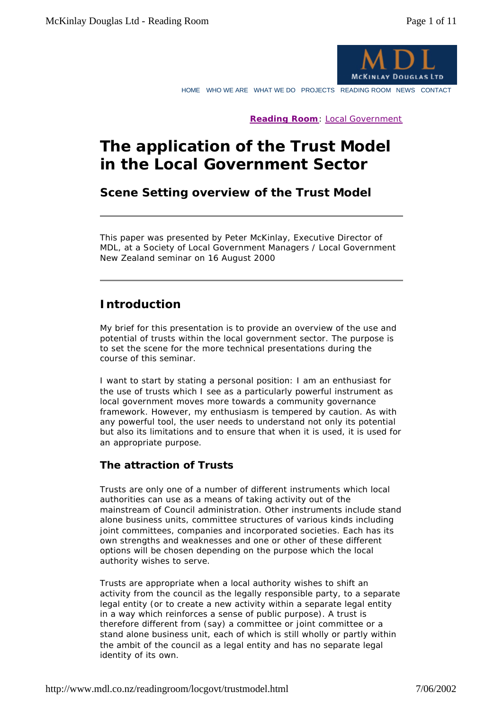

HOME WHO WE ARE WHAT WE DO PROJECTS READING ROOM NEWS CONTACT

**Reading Room**: Local Government

# **The application of the Trust Model in the Local Government Sector**

*Scene Setting overview of the Trust Model*

This paper was presented by Peter McKinlay, Executive Director of MDL, at a Society of Local Government Managers / Local Government New Zealand seminar on 16 August 2000

## **Introduction**

My brief for this presentation is to provide an overview of the use and potential of trusts within the local government sector. The purpose is to set the scene for the more technical presentations during the course of this seminar.

I want to start by stating a personal position: I am an enthusiast for the use of trusts which I see as a particularly powerful instrument as local government moves more towards a community governance framework. However, my enthusiasm is tempered by caution. As with any powerful tool, the user needs to understand not only its potential but also its limitations and to ensure that when it is used, it is used for an appropriate purpose.

### **The attraction of Trusts**

Trusts are only one of a number of different instruments which local authorities can use as a means of taking activity out of the mainstream of Council administration. Other instruments include stand alone business units, committee structures of various kinds including joint committees, companies and incorporated societies. Each has its own strengths and weaknesses and one or other of these different options will be chosen depending on the purpose which the local authority wishes to serve.

Trusts are appropriate when a local authority wishes to shift an activity from the council as the legally responsible party, to a separate legal entity (or to create a new activity within a separate legal entity in a way which reinforces a sense of public purpose). A trust is therefore different from (say) a committee or joint committee or a stand alone business unit, each of which is still wholly or partly within the ambit of the council as a legal entity and has no separate legal identity of its own.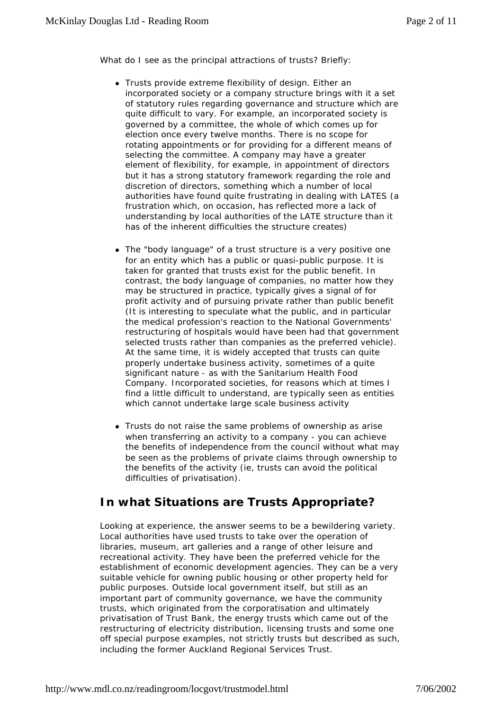What do I see as the principal attractions of trusts? Briefly:

- Trusts provide extreme flexibility of design. Either an incorporated society or a company structure brings with it a set of statutory rules regarding governance and structure which are quite difficult to vary. For example, an incorporated society is governed by a committee, the whole of which comes up for election once every twelve months. There is no scope for rotating appointments or for providing for a different means of selecting the committee. A company may have a greater element of flexibility, for example, in appointment of directors but it has a strong statutory framework regarding the role and discretion of directors, something which a number of local authorities have found quite frustrating in dealing with LATES (a frustration which, on occasion, has reflected more a lack of understanding by local authorities of the LATE structure than it has of the inherent difficulties the structure creates)
- The "body language" of a trust structure is a very positive one for an entity which has a public or quasi-public purpose. It is taken for granted that trusts exist for the public benefit. In contrast, the body language of companies, no matter how they may be structured in practice, typically gives a signal of for profit activity and of pursuing private rather than public benefit (It is interesting to speculate what the public, and in particular the medical profession's reaction to the National Governments' restructuring of hospitals would have been had that government selected trusts rather than companies as the preferred vehicle). At the same time, it is widely accepted that trusts can quite properly undertake business activity, sometimes of a quite significant nature - as with the Sanitarium Health Food Company. Incorporated societies, for reasons which at times I find a little difficult to understand, are typically seen as entities which cannot undertake large scale business activity
- Trusts do not raise the same problems of ownership as arise when transferring an activity to a company - you can achieve the benefits of independence from the council without what may be seen as the problems of private claims through ownership to the benefits of the activity (ie, trusts can avoid the political difficulties of privatisation).

## **In what Situations are Trusts Appropriate?**

Looking at experience, the answer seems to be a bewildering variety. Local authorities have used trusts to take over the operation of libraries, museum, art galleries and a range of other leisure and recreational activity. They have been the preferred vehicle for the establishment of economic development agencies. They can be a very suitable vehicle for owning public housing or other property held for public purposes. Outside local government itself, but still as an important part of community governance, we have the community trusts, which originated from the corporatisation and ultimately privatisation of Trust Bank, the energy trusts which came out of the restructuring of electricity distribution, licensing trusts and some one off special purpose examples, not strictly trusts but described as such, including the former Auckland Regional Services Trust.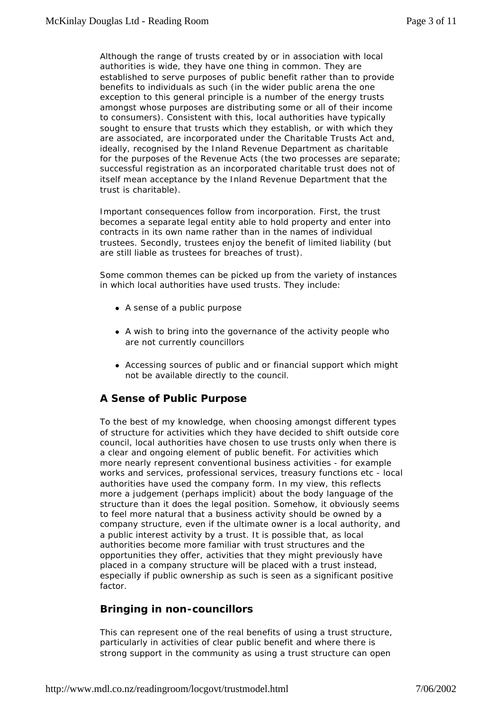Although the range of trusts created by or in association with local authorities is wide, they have one thing in common. They are established to serve purposes of public benefit rather than to provide benefits to individuals as such (in the wider public arena the one exception to this general principle is a number of the energy trusts amongst whose purposes are distributing some or all of their income to consumers). Consistent with this, local authorities have typically sought to ensure that trusts which they establish, or with which they are associated, are incorporated under the Charitable Trusts Act and, ideally, recognised by the Inland Revenue Department as charitable for the purposes of the Revenue Acts (the two processes are separate; successful registration as an incorporated charitable trust does not of itself mean acceptance by the Inland Revenue Department that the trust is charitable).

Important consequences follow from incorporation. First, the trust becomes a separate legal entity able to hold property and enter into contracts in its own name rather than in the names of individual trustees. Secondly, trustees enjoy the benefit of limited liability (but are still liable as trustees for breaches of trust).

Some common themes can be picked up from the variety of instances in which local authorities have used trusts. They include:

- $\bullet$  A sense of a public purpose
- A wish to bring into the governance of the activity people who are not currently councillors
- Accessing sources of public and or financial support which might not be available directly to the council.

### **A Sense of Public Purpose**

To the best of my knowledge, when choosing amongst different types of structure for activities which they have decided to shift outside core council, local authorities have chosen to use trusts only when there is a clear and ongoing element of public benefit. For activities which more nearly represent conventional business activities - for example works and services, professional services, treasury functions etc - local authorities have used the company form. In my view, this reflects more a judgement (perhaps implicit) about the body language of the structure than it does the legal position. Somehow, it obviously seems to feel more natural that a business activity should be owned by a company structure, even if the ultimate owner is a local authority, and a public interest activity by a trust. It is possible that, as local authorities become more familiar with trust structures and the opportunities they offer, activities that they might previously have placed in a company structure will be placed with a trust instead, especially if public ownership as such is seen as a significant positive factor.

### **Bringing in non-councillors**

This can represent one of the real benefits of using a trust structure, particularly in activities of clear public benefit and where there is strong support in the community as using a trust structure can open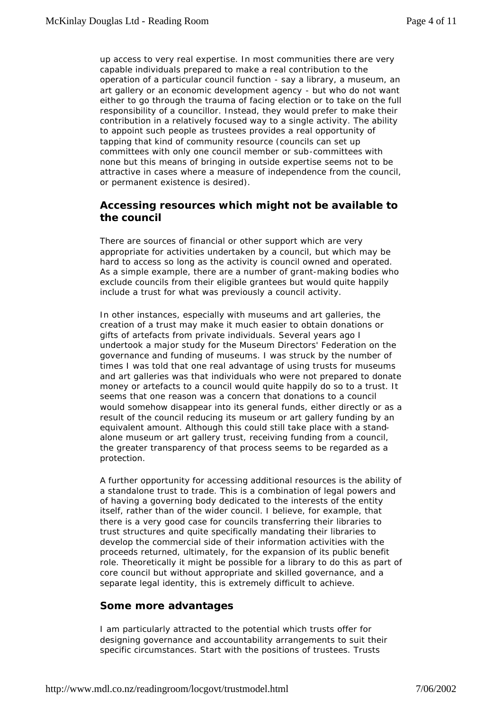up access to very real expertise. In most communities there are very capable individuals prepared to make a real contribution to the operation of a particular council function - say a library, a museum, an art gallery or an economic development agency - but who do not want either to go through the trauma of facing election or to take on the full responsibility of a councillor. Instead, they would prefer to make their contribution in a relatively focused way to a single activity. The ability to appoint such people as trustees provides a real opportunity of tapping that kind of community resource (councils can set up committees with only one council member or sub-committees with none but this means of bringing in outside expertise seems not to be attractive in cases where a measure of independence from the council, or permanent existence is desired).

### **Accessing resources which might not be available to the council**

There are sources of financial or other support which are very appropriate for activities undertaken by a council, but which may be hard to access so long as the activity is council owned and operated. As a simple example, there are a number of grant-making bodies who exclude councils from their eligible grantees but would quite happily include a trust for what was previously a council activity.

In other instances, especially with museums and art galleries, the creation of a trust may make it much easier to obtain donations or gifts of artefacts from private individuals. Several years ago I undertook a major study for the Museum Directors' Federation on the governance and funding of museums. I was struck by the number of times I was told that one real advantage of using trusts for museums and art galleries was that individuals who were not prepared to donate money or artefacts to a council would quite happily do so to a trust. It seems that one reason was a concern that donations to a council would somehow disappear into its general funds, either directly or as a result of the council reducing its museum or art gallery funding by an equivalent amount. Although this could still take place with a standalone museum or art gallery trust, receiving funding from a council, the greater transparency of that process seems to be regarded as a protection.

A further opportunity for accessing additional resources is the ability of a standalone trust to trade. This is a combination of legal powers and of having a governing body dedicated to the interests of the entity itself, rather than of the wider council. I believe, for example, that there is a very good case for councils transferring their libraries to trust structures and quite specifically mandating their libraries to develop the commercial side of their information activities with the proceeds returned, ultimately, for the expansion of its public benefit role. Theoretically it might be possible for a library to do this as part of core council but without appropriate and skilled governance, and a separate legal identity, this is extremely difficult to achieve.

#### **Some more advantages**

I am particularly attracted to the potential which trusts offer for designing governance and accountability arrangements to suit their specific circumstances. Start with the positions of trustees. Trusts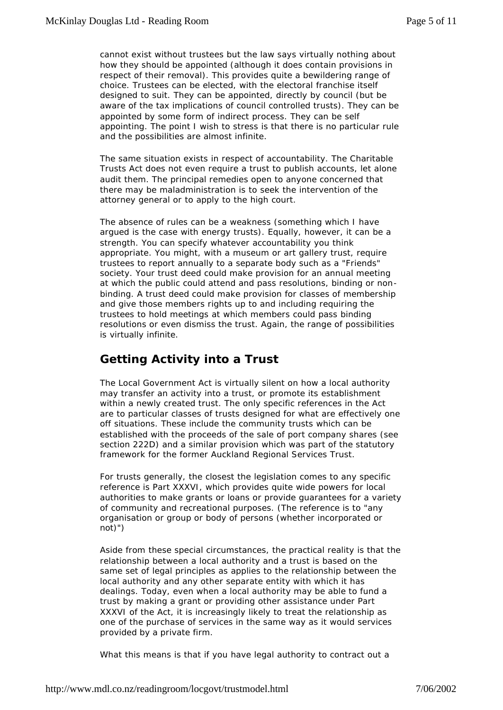cannot exist without trustees but the law says virtually nothing about how they should be appointed (although it does contain provisions in respect of their removal). This provides quite a bewildering range of choice. Trustees can be elected, with the electoral franchise itself designed to suit. They can be appointed, directly by council (but be aware of the tax implications of council controlled trusts). They can be appointed by some form of indirect process. They can be self appointing. The point I wish to stress is that there is no particular rule and the possibilities are almost infinite.

The same situation exists in respect of accountability. The Charitable Trusts Act does not even require a trust to publish accounts, let alone audit them. The principal remedies open to anyone concerned that there may be maladministration is to seek the intervention of the attorney general or to apply to the high court.

The absence of rules can be a weakness (something which I have argued is the case with energy trusts). Equally, however, it can be a strength. You can specify whatever accountability you think appropriate. You might, with a museum or art gallery trust, require trustees to report annually to a separate body such as a "Friends" society. Your trust deed could make provision for an annual meeting at which the public could attend and pass resolutions, binding or nonbinding. A trust deed could make provision for classes of membership and give those members rights up to and including requiring the trustees to hold meetings at which members could pass binding resolutions or even dismiss the trust. Again, the range of possibilities is virtually infinite.

# **Getting Activity into a Trust**

The Local Government Act is virtually silent on how a local authority may transfer an activity into a trust, or promote its establishment within a newly created trust. The only specific references in the Act are to particular classes of trusts designed for what are effectively one off situations. These include the community trusts which can be established with the proceeds of the sale of port company shares (see section 222D) and a similar provision which was part of the statutory framework for the former Auckland Regional Services Trust.

For trusts generally, the closest the legislation comes to any specific reference is Part XXXVI, which provides quite wide powers for local authorities to make grants or loans or provide guarantees for a variety of community and recreational purposes. (The reference is to "any organisation or group or body of persons (whether incorporated or not)")

Aside from these special circumstances, the practical reality is that the relationship between a local authority and a trust is based on the same set of legal principles as applies to the relationship between the local authority and any other separate entity with which it has dealings. Today, even when a local authority may be able to fund a trust by making a grant or providing other assistance under Part XXXVI of the Act, it is increasingly likely to treat the relationship as one of the purchase of services in the same way as it would services provided by a private firm.

What this means is that if you have legal authority to contract out a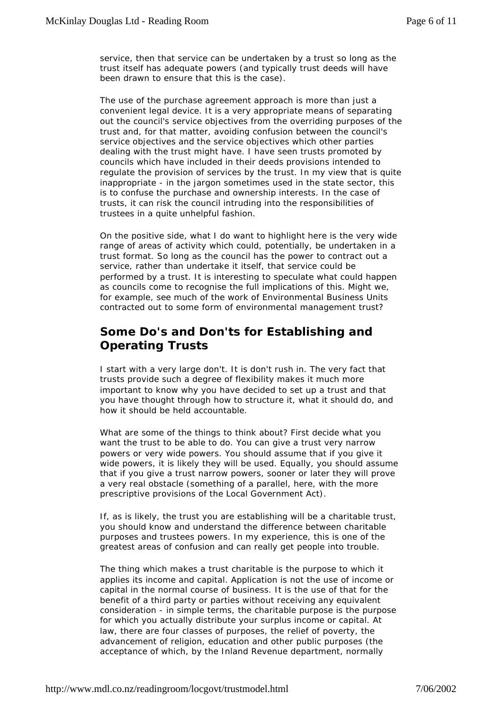service, then that service can be undertaken by a trust so long as the trust itself has adequate powers (and typically trust deeds will have been drawn to ensure that this is the case).

The use of the purchase agreement approach is more than just a convenient legal device. It is a very appropriate means of separating out the council's service objectives from the overriding purposes of the trust and, for that matter, avoiding confusion between the council's service objectives and the service objectives which other parties dealing with the trust might have. I have seen trusts promoted by councils which have included in their deeds provisions intended to regulate the provision of services by the trust. In my view that is quite inappropriate - in the jargon sometimes used in the state sector, this is to confuse the purchase and ownership interests. In the case of trusts, it can risk the council intruding into the responsibilities of trustees in a quite unhelpful fashion.

On the positive side, what I do want to highlight here is the very wide range of areas of activity which could, potentially, be undertaken in a trust format. So long as the council has the power to contract out a service, rather than undertake it itself, that service could be performed by a trust. It is interesting to speculate what could happen as councils come to recognise the full implications of this. Might we, for example, see much of the work of Environmental Business Units contracted out to some form of environmental management trust?

# **Some Do's and Don'ts for Establishing and Operating Trusts**

I start with a very large don't. It is don't rush in. The very fact that trusts provide such a degree of flexibility makes it much more important to know why you have decided to set up a trust and that you have thought through how to structure it, what it should do, and how it should be held accountable.

What are some of the things to think about? First decide what you want the trust to be able to do. You can give a trust very narrow powers or very wide powers. You should assume that if you give it wide powers, it is likely they will be used. Equally, you should assume that if you give a trust narrow powers, sooner or later they will prove a very real obstacle (something of a parallel, here, with the more prescriptive provisions of the Local Government Act).

If, as is likely, the trust you are establishing will be a charitable trust, you should know and understand the difference between charitable purposes and trustees powers. In my experience, this is one of the greatest areas of confusion and can really get people into trouble.

The thing which makes a trust charitable is the purpose to which it applies its income and capital. Application is not the use of income or capital in the normal course of business. It is the use of that for the benefit of a third party or parties without receiving any equivalent consideration - in simple terms, the charitable purpose is the purpose for which you actually distribute your surplus income or capital. At law, there are four classes of purposes, the relief of poverty, the advancement of religion, education and other public purposes (the acceptance of which, by the Inland Revenue department, normally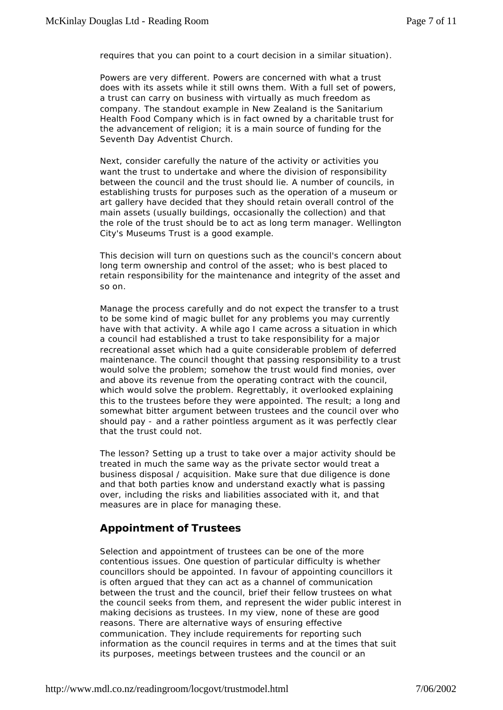requires that you can point to a court decision in a similar situation).

Powers are very different. Powers are concerned with what a trust does with its assets while it still owns them. With a full set of powers, a trust can carry on business with virtually as much freedom as company. The standout example in New Zealand is the Sanitarium Health Food Company which is in fact owned by a charitable trust for the advancement of religion; it is a main source of funding for the Seventh Day Adventist Church.

Next, consider carefully the nature of the activity or activities you want the trust to undertake and where the division of responsibility between the council and the trust should lie. A number of councils, in establishing trusts for purposes such as the operation of a museum or art gallery have decided that they should retain overall control of the main assets (usually buildings, occasionally the collection) and that the role of the trust should be to act as long term manager. Wellington City's Museums Trust is a good example.

This decision will turn on questions such as the council's concern about long term ownership and control of the asset; who is best placed to retain responsibility for the maintenance and integrity of the asset and so on.

Manage the process carefully and do not expect the transfer to a trust to be some kind of magic bullet for any problems you may currently have with that activity. A while ago I came across a situation in which a council had established a trust to take responsibility for a major recreational asset which had a quite considerable problem of deferred maintenance. The council thought that passing responsibility to a trust would solve the problem; somehow the trust would find monies, over and above its revenue from the operating contract with the council, which would solve the problem. Regrettably, it overlooked explaining this to the trustees before they were appointed. The result; a long and somewhat bitter argument between trustees and the council over who should pay - and a rather pointless argument as it was perfectly clear that the trust could not.

The lesson? Setting up a trust to take over a major activity should be treated in much the same way as the private sector would treat a business disposal / acquisition. Make sure that due diligence is done and that both parties know and understand exactly what is passing over, including the risks and liabilities associated with it, and that measures are in place for managing these.

### **Appointment of Trustees**

Selection and appointment of trustees can be one of the more contentious issues. One question of particular difficulty is whether councillors should be appointed. In favour of appointing councillors it is often argued that they can act as a channel of communication between the trust and the council, brief their fellow trustees on what the council seeks from them, and represent the wider public interest in making decisions as trustees. In my view, none of these are good reasons. There are alternative ways of ensuring effective communication. They include requirements for reporting such information as the council requires in terms and at the times that suit its purposes, meetings between trustees and the council or an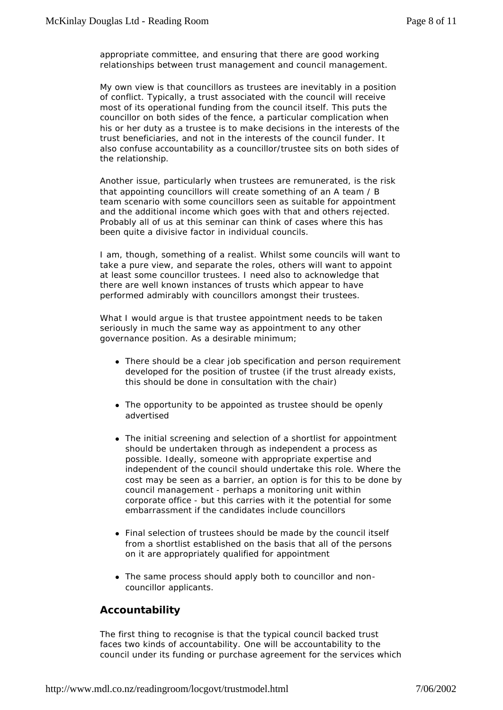appropriate committee, and ensuring that there are good working relationships between trust management and council management.

My own view is that councillors as trustees are inevitably in a position of conflict. Typically, a trust associated with the council will receive most of its operational funding from the council itself. This puts the councillor on both sides of the fence, a particular complication when his or her duty as a trustee is to make decisions in the interests of the trust beneficiaries, and not in the interests of the council funder. It also confuse accountability as a councillor/trustee sits on both sides of the relationship.

Another issue, particularly when trustees are remunerated, is the risk that appointing councillors will create something of an A team / B team scenario with some councillors seen as suitable for appointment and the additional income which goes with that and others rejected. Probably all of us at this seminar can think of cases where this has been quite a divisive factor in individual councils.

I am, though, something of a realist. Whilst some councils will want to take a pure view, and separate the roles, others will want to appoint at least some councillor trustees. I need also to acknowledge that there are well known instances of trusts which appear to have performed admirably with councillors amongst their trustees.

What I would argue is that trustee appointment needs to be taken seriously in much the same way as appointment to any other governance position. As a desirable minimum;

- There should be a clear job specification and person requirement developed for the position of trustee (if the trust already exists, this should be done in consultation with the chair)
- The opportunity to be appointed as trustee should be openly advertised
- The initial screening and selection of a shortlist for appointment should be undertaken through as independent a process as possible. Ideally, someone with appropriate expertise and independent of the council should undertake this role. Where the cost may be seen as a barrier, an option is for this to be done by council management - perhaps a monitoring unit within corporate office - but this carries with it the potential for some embarrassment if the candidates include councillors
- Final selection of trustees should be made by the council itself from a shortlist established on the basis that all of the persons on it are appropriately qualified for appointment
- The same process should apply both to councillor and noncouncillor applicants.

### **Accountability**

The first thing to recognise is that the typical council backed trust faces two kinds of accountability. One will be accountability to the council under its funding or purchase agreement for the services which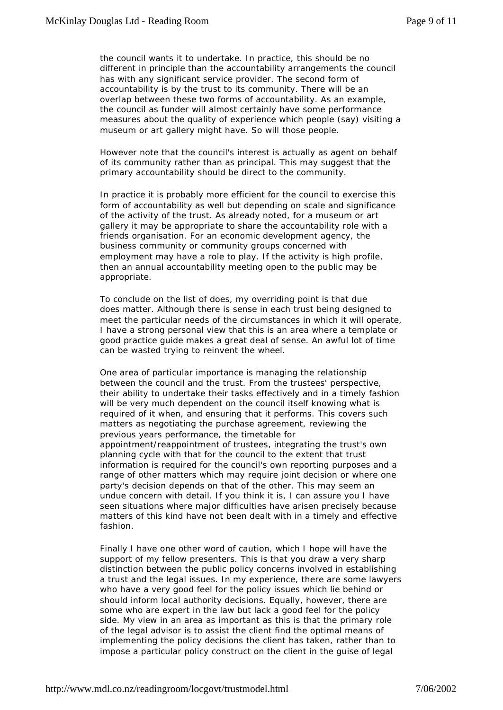the council wants it to undertake. In practice, this should be no different in principle than the accountability arrangements the council has with any significant service provider. The second form of accountability is by the trust to its community. There will be an overlap between these two forms of accountability. As an example, the council as funder will almost certainly have some performance measures about the quality of experience which people (say) visiting a museum or art gallery might have. So will those people.

However note that the council's interest is actually as agent on behalf of its community rather than as principal. This may suggest that the primary accountability should be direct to the community.

In practice it is probably more efficient for the council to exercise this form of accountability as well but depending on scale and significance of the activity of the trust. As already noted, for a museum or art gallery it may be appropriate to share the accountability role with a friends organisation. For an economic development agency, the business community or community groups concerned with employment may have a role to play. If the activity is high profile, then an annual accountability meeting open to the public may be appropriate.

To conclude on the list of does, my overriding point is that due does matter. Although there is sense in each trust being designed to meet the particular needs of the circumstances in which it will operate, I have a strong personal view that this is an area where a template or good practice guide makes a great deal of sense. An awful lot of time can be wasted trying to reinvent the wheel.

One area of particular importance is managing the relationship between the council and the trust. From the trustees' perspective, their ability to undertake their tasks effectively and in a timely fashion will be very much dependent on the council itself knowing what is required of it when, and ensuring that it performs. This covers such matters as negotiating the purchase agreement, reviewing the previous years performance, the timetable for appointment/reappointment of trustees, integrating the trust's own planning cycle with that for the council to the extent that trust information is required for the council's own reporting purposes and a range of other matters which may require joint decision or where one party's decision depends on that of the other. This may seem an undue concern with detail. If you think it is, I can assure you I have seen situations where major difficulties have arisen precisely because matters of this kind have not been dealt with in a timely and effective fashion.

Finally I have one other word of caution, which I hope will have the support of my fellow presenters. This is that you draw a very sharp distinction between the public policy concerns involved in establishing a trust and the legal issues. In my experience, there are some lawyers who have a very good feel for the policy issues which lie behind or should inform local authority decisions. Equally, however, there are some who are expert in the law but lack a good feel for the policy side. My view in an area as important as this is that the primary role of the legal advisor is to assist the client find the optimal means of implementing the policy decisions the client has taken, rather than to impose a particular policy construct on the client in the guise of legal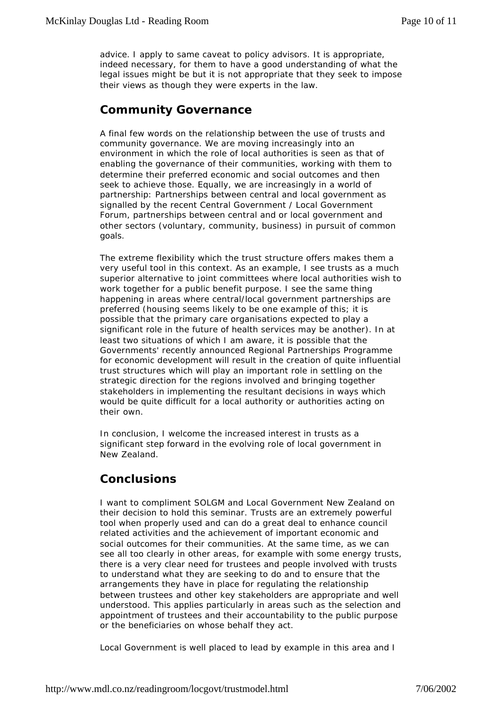advice. I apply to same caveat to policy advisors. It is appropriate, indeed necessary, for them to have a good understanding of what the legal issues might be but it is not appropriate that they seek to impose their views as though they were experts in the law.

### **Community Governance**

A final few words on the relationship between the use of trusts and community governance. We are moving increasingly into an environment in which the role of local authorities is seen as that of enabling the governance of their communities, working with them to determine their preferred economic and social outcomes and then seek to achieve those. Equally, we are increasingly in a world of partnership: Partnerships between central and local government as signalled by the recent Central Government / Local Government Forum, partnerships between central and or local government and other sectors (voluntary, community, business) in pursuit of common goals.

The extreme flexibility which the trust structure offers makes them a very useful tool in this context. As an example, I see trusts as a much superior alternative to joint committees where local authorities wish to work together for a public benefit purpose. I see the same thing happening in areas where central/local government partnerships are preferred (housing seems likely to be one example of this; it is possible that the primary care organisations expected to play a significant role in the future of health services may be another). In at least two situations of which I am aware, it is possible that the Governments' recently announced Regional Partnerships Programme for economic development will result in the creation of quite influential trust structures which will play an important role in settling on the strategic direction for the regions involved and bringing together stakeholders in implementing the resultant decisions in ways which would be quite difficult for a local authority or authorities acting on their own.

In conclusion, I welcome the increased interest in trusts as a significant step forward in the evolving role of local government in New Zealand.

## **Conclusions**

I want to compliment SOLGM and Local Government New Zealand on their decision to hold this seminar. Trusts are an extremely powerful tool when properly used and can do a great deal to enhance council related activities and the achievement of important economic and social outcomes for their communities. At the same time, as we can see all too clearly in other areas, for example with some energy trusts, there is a very clear need for trustees and people involved with trusts to understand what they are seeking to do and to ensure that the arrangements they have in place for regulating the relationship between trustees and other key stakeholders are appropriate and well understood. This applies particularly in areas such as the selection and appointment of trustees and their accountability to the public purpose or the beneficiaries on whose behalf they act.

Local Government is well placed to lead by example in this area and I